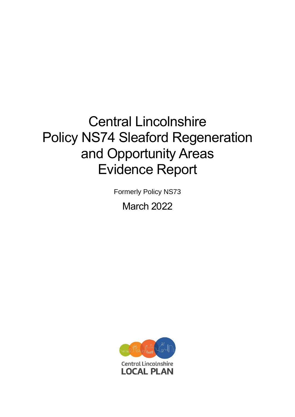# Central Lincolnshire Policy NS74 Sleaford Regeneration and Opportunity Areas Evidence Report

Formerly Policy NS73

March 2022

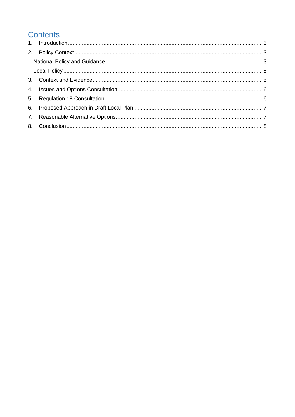# **Contents**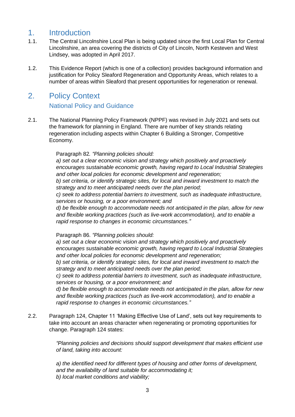## <span id="page-2-0"></span>1. Introduction

- 1.1. The Central Lincolnshire Local Plan is being updated since the first Local Plan for Central Lincolnshire, an area covering the districts of City of Lincoln, North Kesteven and West Lindsey, was adopted in April 2017.
- 1.2. This Evidence Report (which is one of a collection) provides background information and justification for Policy Sleaford Regeneration and Opportunity Areas, which relates to a number of areas within Sleaford that present opportunities for regeneration or renewal.

## <span id="page-2-2"></span><span id="page-2-1"></span>2. Policy Context

## National Policy and Guidance

2.1. The National Planning Policy Framework (NPPF) was revised in July 2021 and sets out the framework for planning in England. There are number of key strands relating regeneration including aspects within Chapter 6 Building a Stronger, Competitive Economy.

#### Paragraph 82*. "Planning policies should:*

*a) set out a clear economic vision and strategy which positively and proactively encourages sustainable economic growth, having regard to Local Industrial Strategies and other local policies for economic development and regeneration;* 

*b) set criteria, or identify strategic sites, for local and inward investment to match the strategy and to meet anticipated needs over the plan period;* 

*c) seek to address potential barriers to investment, such as inadequate infrastructure, services or housing, or a poor environment; and* 

*d) be flexible enough to accommodate needs not anticipated in the plan, allow for new and flexible working practices (such as live-work accommodation), and to enable a rapid response to changes in economic circumstances."* 

Paragraph 86. *"Planning policies should:* 

*a) set out a clear economic vision and strategy which positively and proactively encourages sustainable economic growth, having regard to Local Industrial Strategies and other local policies for economic development and regeneration;* 

*b) set criteria, or identify strategic sites, for local and inward investment to match the strategy and to meet anticipated needs over the plan period;* 

*c) seek to address potential barriers to investment, such as inadequate infrastructure, services or housing, or a poor environment; and* 

*d) be flexible enough to accommodate needs not anticipated in the plan, allow for new and flexible working practices (such as live-work accommodation), and to enable a rapid response to changes in economic circumstances."*

2.2. Paragraph 124, Chapter 11 'Making Effective Use of Land', sets out key requirements to take into account an areas character when regenerating or promoting opportunities for change. Paragraph 124 states:

> *"Planning policies and decisions should support development that makes efficient use of land, taking into account:*

*a) the identified need for different types of housing and other forms of development, and the availability of land suitable for accommodating it; b) local market conditions and viability;*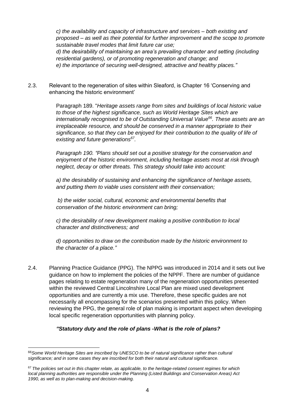*c) the availability and capacity of infrastructure and services – both existing and proposed – as well as their potential for further improvement and the scope to promote sustainable travel modes that limit future car use; d) the desirability of maintaining an area's prevailing character and setting (including residential gardens), or of promoting regeneration and change; and e) the importance of securing well-designed, attractive and healthy places."*

2.3. Relevant to the regeneration of sites within Sleaford, is Chapter 16 'Conserving and enhancing the historic environment'

> Paragraph 189. "*Heritage assets range from sites and buildings of local historic value to those of the highest significance, such as World Heritage Sites which are internationally recognised to be of Outstanding Universal Value <sup>66</sup>. These assets are an irreplaceable resource, and should be conserved in a manner appropriate to their significance, so that they can be enjoyed for their contribution to the quality of life of existing and future generations<sup>67</sup> .*

*Paragraph 190. "Plans should set out a positive strategy for the conservation and enjoyment of the historic environment, including heritage assets most at risk through neglect, decay or other threats. This strategy should take into account:* 

*a) the desirability of sustaining and enhancing the significance of heritage assets, and putting them to viable uses consistent with their conservation;* 

*b) the wider social, cultural, economic and environmental benefits that conservation of the historic environment can bring;* 

*c) the desirability of new development making a positive contribution to local character and distinctiveness; and* 

*d) opportunities to draw on the contribution made by the historic environment to the character of a place."*

2.4. Planning Practice Guidance (PPG). The NPPG was introduced in 2014 and it sets out live guidance on how to implement the policies of the NPPF. There are number of guidance pages relating to estate regeneration many of the regeneration opportunities presented within the reviewed Central Lincolnshire Local Plan are mixed used development opportunities and are currently a mix use. Therefore, these specific guides are not necessarily all encompassing for the scenarios presented within this policy. When reviewing the PPG, the general role of plan making is important aspect when developing local specific regeneration opportunities with planning policy.

#### *"Statutory duty and the role of plans -What is the role of plans?*

<sup>66</sup>*Some World Heritage Sites are inscribed by UNESCO to be of natural significance rather than cultural significance; and in some cases they are inscribed for both their natural and cultural significance.* 

<sup>67</sup>*The policies set out in this chapter relate, as applicable, to the heritage-related consent regimes for which local planning authorities are responsible under the Planning (Listed Buildings and Conservation Areas) Act 1990, as well as to plan-making and decision-making.*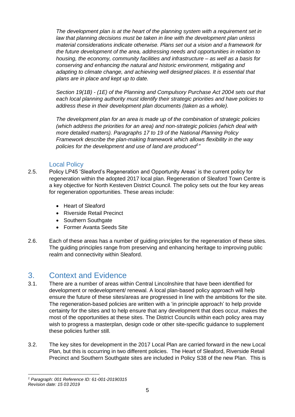*The development plan is at the heart of the planning system with a requirement set in law that planning decisions must be taken in line with the development plan unless material considerations indicate otherwise. Plans set out a vision and a framework for the future development of the area, addressing needs and opportunities in relation to housing, the economy, community facilities and infrastructure – as well as a basis for conserving and enhancing the natural and historic environment, mitigating and adapting to climate change, and achieving well designed places. It is essential that plans are in place and kept up to date.*

*Section 19(1B) - (1E) of the Planning and Compulsory Purchase Act 2004 sets out that each local planning authority must identify their strategic priorities and have policies to address these in their development plan documents (taken as a whole).*

*The development plan for an area is made up of the combination of strategic policies (which address the priorities for an area) and non-strategic policies (which deal with more detailed matters). Paragraphs 17 to 19 of the National Planning Policy Framework describe the plan-making framework which allows flexibility in the way policies for the development and use of land are produced<sup>1</sup> "*

## Local Policy

- <span id="page-4-0"></span>2.5. Policy LP45 'Sleaford's Regeneration and Opportunity Areas' is the current policy for regeneration within the adopted 2017 local plan. Regeneration of Sleaford Town Centre is a key objective for North Kesteven District Council. The policy sets out the four key areas for regeneration opportunities. These areas include:
	- Heart of Sleaford
	- Riverside Retail Precinct
	- Southern Southgate
	- Former Avanta Seeds Site
- 2.6. Each of these areas has a number of guiding principles for the regeneration of these sites. The guiding principles range from preserving and enhancing heritage to improving public realm and connectivity within Sleaford.

## <span id="page-4-1"></span>3. Context and Evidence

- 3.1. There are a number of areas within Central Lincolnshire that have been identified for development or redevelopment/ renewal. A local plan-based policy approach will help ensure the future of these sites/areas are progressed in line with the ambitions for the site. The regeneration-based policies are written with a 'in principle approach' to help provide certainty for the sites and to help ensure that any development that does occur, makes the most of the opportunities at these sites. The District Councils within each policy area may wish to progress a masterplan, design code or other site-specific guidance to supplement these policies further still.
- 3.2. The key sites for development in the 2017 Local Plan are carried forward in the new Local Plan, but this is occurring in two different policies. The Heart of Sleaford, Riverside Retail Precinct and Southern Southgate sites are included in Policy S38 of the new Plan. This is

*<sup>1</sup> Paragraph: 001 Reference ID: 61-001-20190315 Revision date: 15 03 2019*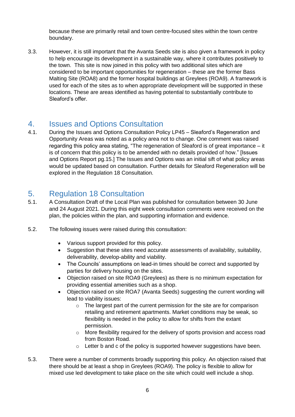because these are primarily retail and town centre-focused sites within the town centre boundary.

3.3. However, it is still important that the Avanta Seeds site is also given a framework in policy to help encourage its development in a sustainable way, where it contributes positively to the town. This site is now joined in this policy with two additional sites which are considered to be important opportunities for regeneration – these are the former Bass Malting Site (ROA8) and the former hospital buildings at Greylees (ROA9). A framework is used for each of the sites as to when appropriate development will be supported in these locations. These are areas identified as having potential to substantially contribute to Sleaford's offer.

## <span id="page-5-0"></span>4. Issues and Options Consultation

4.1. During the Issues and Options Consultation Policy LP45 – Sleaford's Regeneration and Opportunity Areas was noted as a policy area not to change. One comment was raised regarding this policy area stating, "The regeneration of Sleaford is of great importance – it is of concern that this policy is to be amended with no details provided of how." [Issues and Options Report pg.15.] The Issues and Options was an initial sift of what policy areas would be updated based on consultation. Further details for Sleaford Regeneration will be explored in the Regulation 18 Consultation.

## <span id="page-5-1"></span>5. Regulation 18 Consultation

- 5.1. A Consultation Draft of the Local Plan was published for consultation between 30 June and 24 August 2021. During this eight week consultation comments were received on the plan, the policies within the plan, and supporting information and evidence.
- 5.2. The following issues were raised during this consultation:
	- Various support provided for this policy.
	- Suggestion that these sites need accurate assessments of availability, suitability, deliverability, develop-ability and viability.
	- The Councils' assumptions on lead-in times should be correct and supported by parties for delivery housing on the sites.
	- Objection raised on site ROA9 (Greylees) as there is no minimum expectation for providing essential amenities such as a shop.
	- Objection raised on site ROA7 (Avanta Seeds) suggesting the current wording will lead to viability issues:
		- o The largest part of the current permission for the site are for comparison retailing and retirement apartments. Market conditions may be weak, so flexibility is needed in the policy to allow for shifts from the extant permission.
		- $\circ$  More flexibility required for the delivery of sports provision and access road from Boston Road.
		- o Letter b and c of the policy is supported however suggestions have been.
- 5.3. There were a number of comments broadly supporting this policy. An objection raised that there should be at least a shop in Greylees (ROA9). The policy is flexible to allow for mixed use led development to take place on the site which could well include a shop.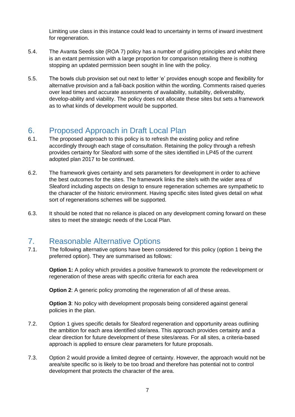Limiting use class in this instance could lead to uncertainty in terms of inward investment for regeneration.

- 5.4. The Avanta Seeds site (ROA 7) policy has a number of guiding principles and whilst there is an extant permission with a large proportion for comparison retailing there is nothing stopping an updated permission been sought in line with the policy.
- 5.5. The bowls club provision set out next to letter 'e' provides enough scope and flexibility for alternative provision and a fall-back position within the wording. Comments raised queries over lead times and accurate assessments of availability, suitability, deliverability, develop-ability and viability. The policy does not allocate these sites but sets a framework as to what kinds of development would be supported.

## <span id="page-6-0"></span>6. Proposed Approach in Draft Local Plan

- 6.1. The proposed approach to this policy is to refresh the existing policy and refine accordingly through each stage of consultation. Retaining the policy through a refresh provides certainty for Sleaford with some of the sites identified in LP45 of the current adopted plan 2017 to be continued.
- 6.2. The framework gives certainty and sets parameters for development in order to achieve the best outcomes for the sites. The framework links the site/s with the wider area of Sleaford including aspects on design to ensure regeneration schemes are sympathetic to the character of the historic environment. Having specific sites listed gives detail on what sort of regenerations schemes will be supported.
- 6.3. It should be noted that no reliance is placed on any development coming forward on these sites to meet the strategic needs of the Local Plan.

## <span id="page-6-1"></span>7. Reasonable Alternative Options

7.1. The following alternative options have been considered for this policy (option 1 being the preferred option). They are summarised as follows:

**Option 1:** A policy which provides a positive framework to promote the redevelopment or regeneration of these areas with specific criteria for each area

**Option 2:** A generic policy promoting the regeneration of all of these areas.

**Option 3:** No policy with development proposals being considered against general policies in the plan.

- 7.2. Option 1 gives specific details for Sleaford regeneration and opportunity areas outlining the ambition for each area identified site/area. This approach provides certainty and a clear direction for future development of these sites/areas. For all sites, a criteria-based approach is applied to ensure clear parameters for future proposals.
- 7.3. Option 2 would provide a limited degree of certainty. However, the approach would not be area/site specific so is likely to be too broad and therefore has potential not to control development that protects the character of the area.